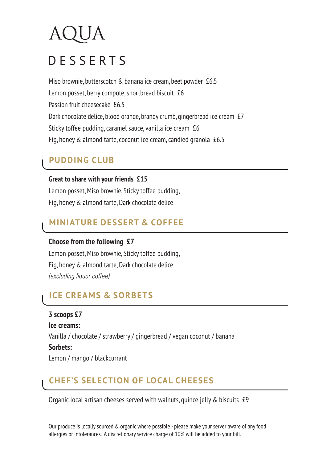# DESSERTS

Miso brownie, butterscotch & banana ice cream, beet powder £6.5 Lemon posset, berry compote, shortbread biscuit £6 Passion fruit cheesecake £6.5 Dark chocolate delice, blood orange, brandy crumb, gingerbread ice cream £7 Sticky toffee pudding, caramel sauce, vanilla ice cream £6 Fig, honey & almond tarte, coconut ice cream, candied granola £6.5

# **PUDDING CLUB**

**Great to share with your friends £15** Lemon posset, Miso brownie, Sticky toffee pudding, Fig, honey & almond tarte, Dark chocolate delice

# **MINIATURE DESSERT & COFFEE**

### **Choose from the following £7**

Lemon posset, Miso brownie, Sticky toffee pudding, Fig, honey & almond tarte, Dark chocolate delice *(excluding liquor coffee)*

# **ICE CREAMS & SORBETS**

**3 scoops £7 Ice creams:**  Vanilla / chocolate / strawberry / gingerbread / vegan coconut / banana **Sorbets:** Lemon / mango / blackcurrant

# **CHEF'S SELECTION OF LOCAL CHEESES**

Organic local artisan cheeses served with walnuts, quince jelly & biscuits £9

Our produce is locally sourced & organic where possible - please make your server aware of any food allergies or intolerances. A discretionary service charge of 10% will be added to your bill.